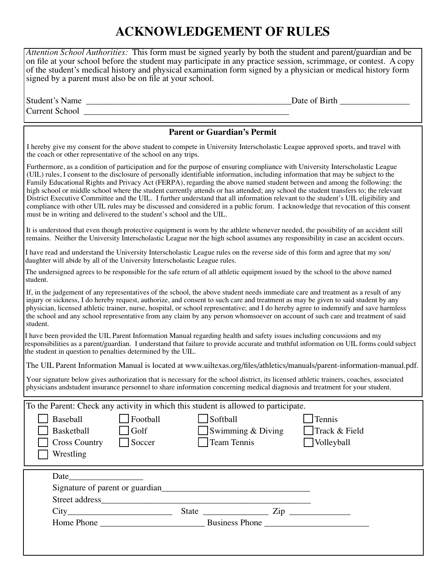## **ACKNOWLEDGEMENT OF RULES**

*Attention School Authorities:* This form must be signed yearly by both the student and parent/guardian and be on file at your school before the student may participate in any practice session, scrimmage, or contest. A copy of the student's medical history and physical examination form signed by a physician or medical history form signed by a parent must also be on file at your school.

| ່ຕມ<br>$\sim$ $\sim$ $\sim$<br>.<br>ш | )ate |  |
|---------------------------------------|------|--|
| $\sim$<br>`urrei                      |      |  |

## **Parent or Guardian's Permit** Furthermore, as a condition of participation and for the purpose of ensuring compliance with University Interscholastic League (UIL) rules, I consent to the disclosure of personally identifiable information, including information that may be subject to the Family Educational Rights and Privacy Act (FERPA), regarding the above named student between and among the following: the high school or middle school where the student currently attends or has attended; any school the student transfers to; the relevant District Executive Committee and the UIL. I further understand that all information relevant to the student's UIL eligibility and compliance with other UIL rules may be discussed and considered in a public forum. I acknowledge that revocation of this consent must be in writing and delivered to the student's school and the UIL. It is understood that even though protective equipment is worn by the athlete whenever needed, the possibility of an accident still remains. Neither the University Interscholastic League nor the high school assumes any responsibility in case an accident occurs. I have read and understand the University Interscholastic League rules on the reverse side of this form and agree that my son/ daughter will abide by all of the University Interscholastic League rules. The undersigned agrees to be responsible for the safe return of all athletic equipment issued by the school to the above named student. If, in the judgement of any representatives of the school, the above student needs immediate care and treatment as a result of any injury or sickness, I do hereby request, authorize, and consent to such care and treatment as may be given to said student by any physician, licensed athletic trainer, nurse, hospital, or school representative; and I do hereby agree to indemnify and save harmless the school and any school representative from any claim by any person whomsoever on account of such care and treatment of said student. I have been provided the UIL Parent Information Manual regarding health and safety issues including concussions and my responsibilities as a parent/guardian. I understand that failure to provide accurate and truthful information on UIL forms could subject the student in question to penalties determined by the UIL. The UIL Parent Information Manual is located at www.uiltexas.org/files/athletics/manuals/parent-information-manual.pdf. Your signature below gives authorization that is necessary for the school district, its licensed athletic trainers, coaches, associated physicians andstudent insurance personnel to share information concerning medical diagnosis and treatment for your student. To the Parent: Check any activity in which this student is allowed to participate. Baseball | Football | Softball | Tennis Basketball Golf Swimming & Diving Track & Field  $Cross Country \qquad Soccer \qquad \qquad \Box$  Team Tennis  $\qquad \qquad \Box$  Volleyball Wrestling Date\_\_\_\_\_\_\_\_\_\_\_\_\_\_\_\_\_ Signature of parent or guardian\_\_\_\_\_\_\_\_\_\_\_\_\_\_\_\_\_\_\_\_\_\_\_\_\_\_\_\_\_\_\_\_\_\_ Street address  $City$  State  $\frac{1}{2}$  State  $\frac{1}{2}$   $\frac{1}{2}$   $\frac{1}{2}$   $\frac{1}{2}$   $\frac{1}{2}$   $\frac{1}{2}$   $\frac{1}{2}$   $\frac{1}{2}$   $\frac{1}{2}$   $\frac{1}{2}$   $\frac{1}{2}$   $\frac{1}{2}$   $\frac{1}{2}$   $\frac{1}{2}$   $\frac{1}{2}$   $\frac{1}{2}$   $\frac{1}{2}$   $\frac{1}{2}$   $\frac{1}{2}$   $\frac{$ Home Phone \_\_\_\_\_\_\_\_\_\_\_\_\_\_\_\_\_\_\_\_\_\_\_\_ Business Phone \_\_\_\_\_\_\_\_\_\_\_\_\_\_\_\_\_\_\_\_\_\_\_\_ I hereby give my consent for the above student to compete in University Interscholastic League approved sports, and travel with the coach or other representative of the school on any trips.